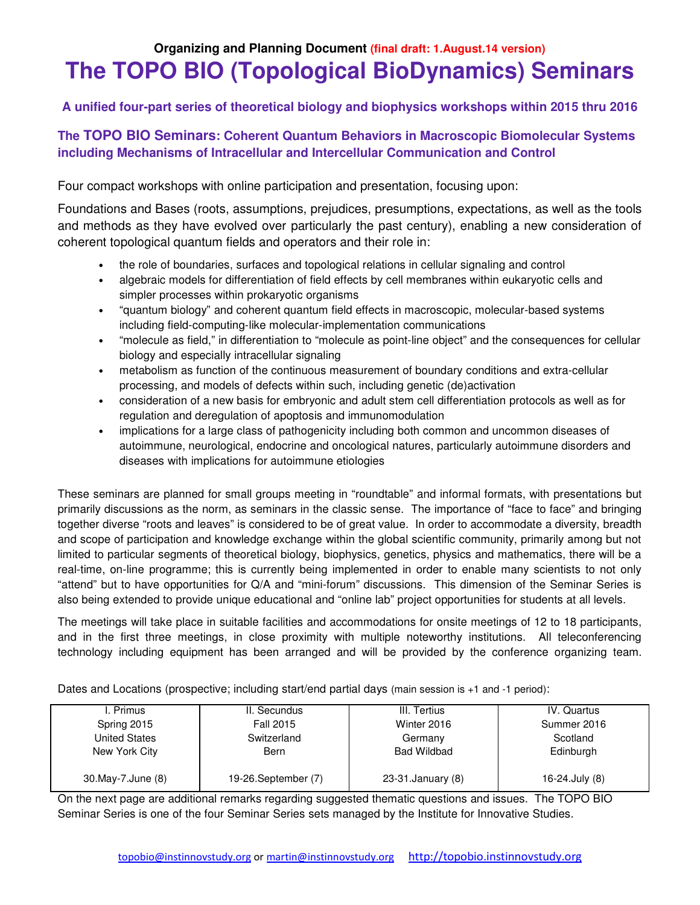# **Organizing and Planning Document (final draft: 1.August.14 version) The TOPO BIO (Topological BioDynamics) Seminars**

# **A unified four-part series of theoretical biology and biophysics workshops within 2015 thru 2016**

# **The TOPO BIO Seminars: Coherent Quantum Behaviors in Macroscopic Biomolecular Systems including Mechanisms of Intracellular and Intercellular Communication and Control**

Four compact workshops with online participation and presentation, focusing upon:

Foundations and Bases (roots, assumptions, prejudices, presumptions, expectations, as well as the tools and methods as they have evolved over particularly the past century), enabling a new consideration of coherent topological quantum fields and operators and their role in:

- the role of boundaries, surfaces and topological relations in cellular signaling and control
- algebraic models for differentiation of field effects by cell membranes within eukaryotic cells and simpler processes within prokaryotic organisms
- "quantum biology" and coherent quantum field effects in macroscopic, molecular-based systems including field-computing-like molecular-implementation communications
- "molecule as field," in differentiation to "molecule as point-line object" and the consequences for cellular biology and especially intracellular signaling
- metabolism as function of the continuous measurement of boundary conditions and extra-cellular processing, and models of defects within such, including genetic (de)activation
- consideration of a new basis for embryonic and adult stem cell differentiation protocols as well as for regulation and deregulation of apoptosis and immunomodulation
- implications for a large class of pathogenicity including both common and uncommon diseases of autoimmune, neurological, endocrine and oncological natures, particularly autoimmune disorders and diseases with implications for autoimmune etiologies

These seminars are planned for small groups meeting in "roundtable" and informal formats, with presentations but primarily discussions as the norm, as seminars in the classic sense. The importance of "face to face" and bringing together diverse "roots and leaves" is considered to be of great value. In order to accommodate a diversity, breadth and scope of participation and knowledge exchange within the global scientific community, primarily among but not limited to particular segments of theoretical biology, biophysics, genetics, physics and mathematics, there will be a real-time, on-line programme; this is currently being implemented in order to enable many scientists to not only "attend" but to have opportunities for Q/A and "mini-forum" discussions. This dimension of the Seminar Series is also being extended to provide unique educational and "online lab" project opportunities for students at all levels.

The meetings will take place in suitable facilities and accommodations for onsite meetings of 12 to 18 participants, and in the first three meetings, in close proximity with multiple noteworthy institutions. All teleconferencing technology including equipment has been arranged and will be provided by the conference organizing team.

Dates and Locations (prospective; including start/end partial days (main session is +1 and -1 period):

| I. Primus           | II. Secundus         | III. Tertius       | IV. Quartus     |
|---------------------|----------------------|--------------------|-----------------|
| Spring 2015         | <b>Fall 2015</b>     | Winter 2016        | Summer 2016     |
| United States       | Switzerland          | Germany            | Scotland        |
| New York City       | Bern                 | Bad Wildbad        | Edinburgh       |
|                     |                      |                    |                 |
| 30. May-7. June (8) | 19-26. September (7) | 23-31. January (8) | 16-24. July (8) |

On the next page are additional remarks regarding suggested thematic questions and issues. The TOPO BIO Seminar Series is one of the four Seminar Series sets managed by the Institute for Innovative Studies.